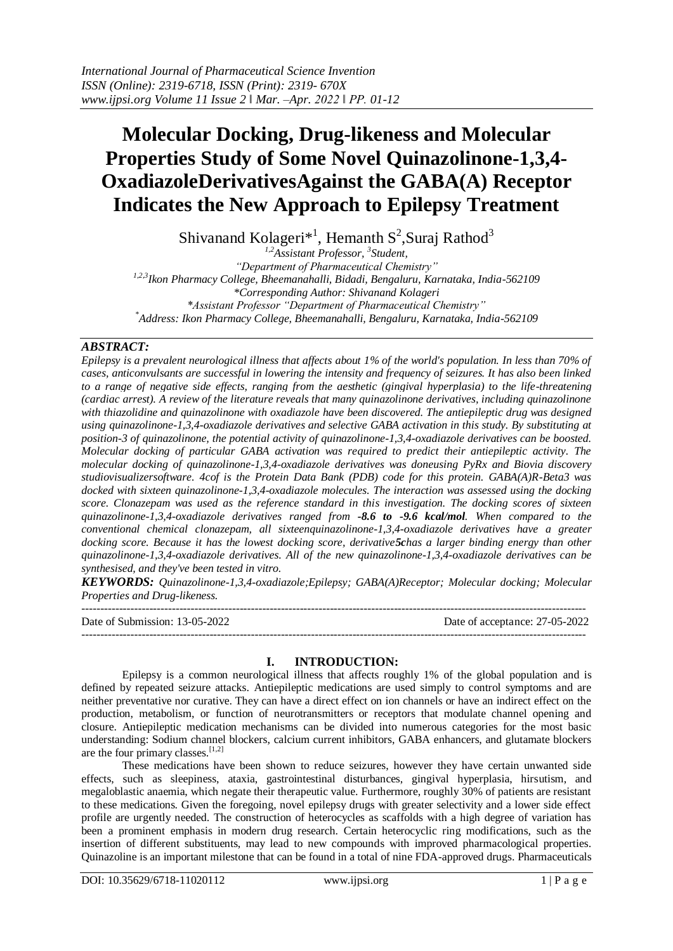# **Molecular Docking, Drug-likeness and Molecular Properties Study of Some Novel Quinazolinone-1,3,4- OxadiazoleDerivativesAgainst the GABA(A) Receptor Indicates the New Approach to Epilepsy Treatment**

Shivanand Kolageri $*^1$ , Hemanth S<sup>2</sup>, Suraj Rathod<sup>3</sup>

*1,2Assistant Professor, <sup>3</sup> Student, "Department of Pharmaceutical Chemistry" 1,2,3Ikon Pharmacy College, Bheemanahalli, Bidadi, Bengaluru, Karnataka, India-562109 \*Corresponding Author: Shivanand Kolageri \*Assistant Professor "Department of Pharmaceutical Chemistry" \*Address: Ikon Pharmacy College, Bheemanahalli, Bengaluru, Karnataka, India-562109*

# *ABSTRACT:*

*Epilepsy is a prevalent neurological illness that affects about 1% of the world's population. In less than 70% of cases, anticonvulsants are successful in lowering the intensity and frequency of seizures. It has also been linked to a range of negative side effects, ranging from the aesthetic (gingival hyperplasia) to the life-threatening (cardiac arrest). A review of the literature reveals that many quinazolinone derivatives, including quinazolinone with thiazolidine and quinazolinone with oxadiazole have been discovered. The antiepileptic drug was designed using quinazolinone-1,3,4-oxadiazole derivatives and selective GABA activation in this study. By substituting at position-3 of quinazolinone, the potential activity of quinazolinone-1,3,4-oxadiazole derivatives can be boosted. Molecular docking of particular GABA activation was required to predict their antiepileptic activity. The molecular docking of quinazolinone-1,3,4-oxadiazole derivatives was doneusing PyRx and Biovia discovery studiovisualizersoftware. 4cof is the Protein Data Bank (PDB) code for this protein. GABA(A)R-Beta3 was docked with sixteen quinazolinone-1,3,4-oxadiazole molecules. The interaction was assessed using the docking score. Clonazepam was used as the reference standard in this investigation. The docking scores of sixteen quinazolinone-1,3,4-oxadiazole derivatives ranged from -8.6 to -9.6 kcal/mol. When compared to the conventional chemical clonazepam, all sixteenquinazolinone-1,3,4-oxadiazole derivatives have a greater docking score. Because it has the lowest docking score, derivative5chas a larger binding energy than other quinazolinone-1,3,4-oxadiazole derivatives. All of the new quinazolinone-1,3,4-oxadiazole derivatives can be synthesised, and they've been tested in vitro.*

*KEYWORDS: Quinazolinone-1,3,4-oxadiazole;Epilepsy; GABA(A)Receptor; Molecular docking; Molecular Properties and Drug-likeness.*

 $-1-\frac{1}{2}$ 

Date of Submission: 13-05-2022 Date of acceptance: 27-05-2022

### **I. INTRODUCTION:**

--------------------------------------------------------------------------------------------------------------------------------------

Epilepsy is a common neurological illness that affects roughly 1% of the global population and is defined by repeated seizure attacks. Antiepileptic medications are used simply to control symptoms and are neither preventative nor curative. They can have a direct effect on ion channels or have an indirect effect on the production, metabolism, or function of neurotransmitters or receptors that modulate channel opening and closure. Antiepileptic medication mechanisms can be divided into numerous categories for the most basic understanding: Sodium channel blockers, calcium current inhibitors, GABA enhancers, and glutamate blockers are the four primary classes.  $[1,2]$ 

These medications have been shown to reduce seizures, however they have certain unwanted side effects, such as sleepiness, ataxia, gastrointestinal disturbances, gingival hyperplasia, hirsutism, and megaloblastic anaemia, which negate their therapeutic value. Furthermore, roughly 30% of patients are resistant to these medications. Given the foregoing, novel epilepsy drugs with greater selectivity and a lower side effect profile are urgently needed. The construction of heterocycles as scaffolds with a high degree of variation has been a prominent emphasis in modern drug research. Certain heterocyclic ring modifications, such as the insertion of different substituents, may lead to new compounds with improved pharmacological properties. Quinazoline is an important milestone that can be found in a total of nine FDA-approved drugs. Pharmaceuticals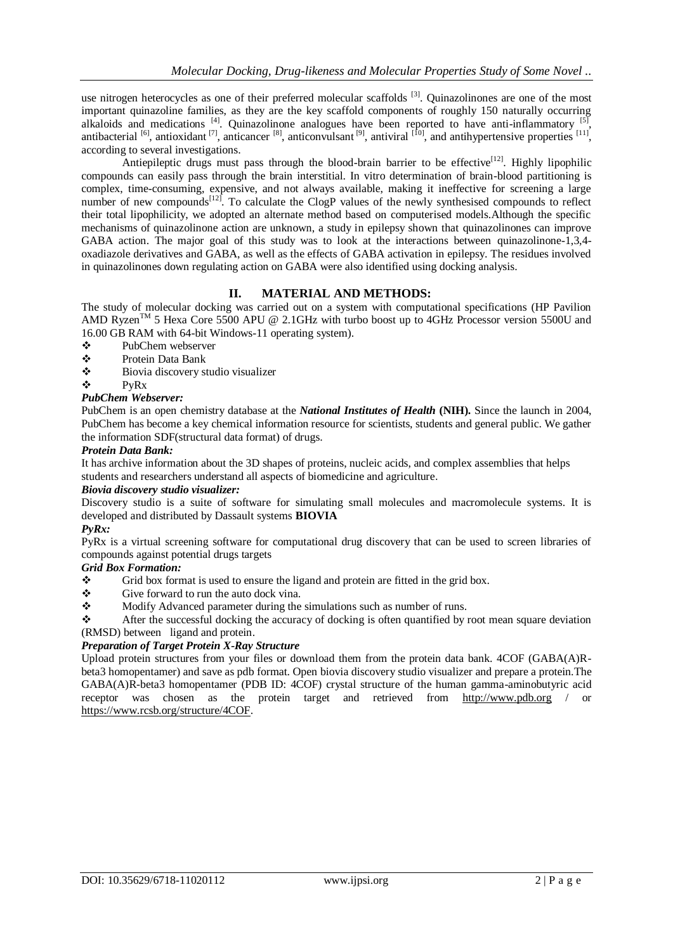use nitrogen heterocycles as one of their preferred molecular scaffolds <sup>[3]</sup>. Quinazolinones are one of the most important quinazoline families, as they are the key scaffold components of roughly 150 naturally occurring alkaloids and medications <sup>[4]</sup>. Quinazolinone analogues have been reported to have anti-inflammatory <sup>[5]</sup>, antibacterial  $^{[6]}$ , antioxidant  $^{[7]}$ , anticancer  $^{[8]}$ , anticonvulsant  $^{[9]}$ , antiviral  $^{[10]}$ , and antihypertensive properties  $^{[11]}$ , according to several investigations.

Antiepileptic drugs must pass through the blood-brain barrier to be effective<sup>[12]</sup>. Highly lipophilic compounds can easily pass through the brain interstitial. In vitro determination of brain-blood partitioning is complex, time-consuming, expensive, and not always available, making it ineffective for screening a large number of new compounds<sup>[12]</sup>. To calculate the ClogP values of the newly synthesised compounds to reflect their total lipophilicity, we adopted an alternate method based on computerised models.Although the specific mechanisms of quinazolinone action are unknown, a study in epilepsy shown that quinazolinones can improve GABA action. The major goal of this study was to look at the interactions between quinazolinone-1,3,4 oxadiazole derivatives and GABA, as well as the effects of GABA activation in epilepsy. The residues involved in quinazolinones down regulating action on GABA were also identified using docking analysis.

# **II. MATERIAL AND METHODS:**

The study of molecular docking was carried out on a system with computational specifications (HP Pavilion AMD Ryzen<sup>™</sup> 5 Hexa Core 5500 APU @ 2.1GHz with turbo boost up to 4GHz Processor version 5500U and 16.00 GB RAM with 64-bit Windows-11 operating system).

- PubChem webserver
- Protein Data Bank
- Biovia discovery studio visualizer
- $\triangleleft$  PyRx

### *PubChem Webserver:*

PubChem is an open chemistry database at the *National Institutes of Health* **(NIH).** Since the launch in 2004, PubChem has become a key chemical information resource for scientists, students and general public. We gather the information SDF(structural data format) of drugs.

### *Protein Data Bank:*

It has archive information about the 3D shapes of proteins, nucleic acids, and complex assemblies that helps students and researchers understand all aspects of biomedicine and agriculture.

### *Biovia discovery studio visualizer:*

Discovery studio is a suite of software for simulating small molecules and macromolecule systems. It is developed and distributed by Dassault systems **BIOVIA**

### *PyRx:*

PyRx is a virtual screening software for computational drug discovery that can be used to screen libraries of compounds against potential drugs targets

### *Grid Box Formation:*

- Grid box format is used to ensure the ligand and protein are fitted in the grid box.
- $\div$  Give forward to run the auto dock vina.
- Modify Advanced parameter during the simulations such as number of runs.

 After the successful docking the accuracy of docking is often quantified by root mean square deviation (RMSD) between ligand and protein.

### *Preparation of Target Protein X-Ray Structure*

Upload protein structures from your files or download them from the protein data bank. 4COF (GABA(A)Rbeta3 homopentamer) and save as pdb format. Open biovia discovery studio visualizer and prepare a protein.The GABA(A)R-beta3 homopentamer (PDB ID: 4COF) crystal structure of the human gamma-aminobutyric acid receptor was chosen as the protein target and retrieved from [http://www.pdb.org](http://www.pdb.org/) / [https://www.rcsb.org/structure/4COF.](https://www.rcsb.org/structure/4COF)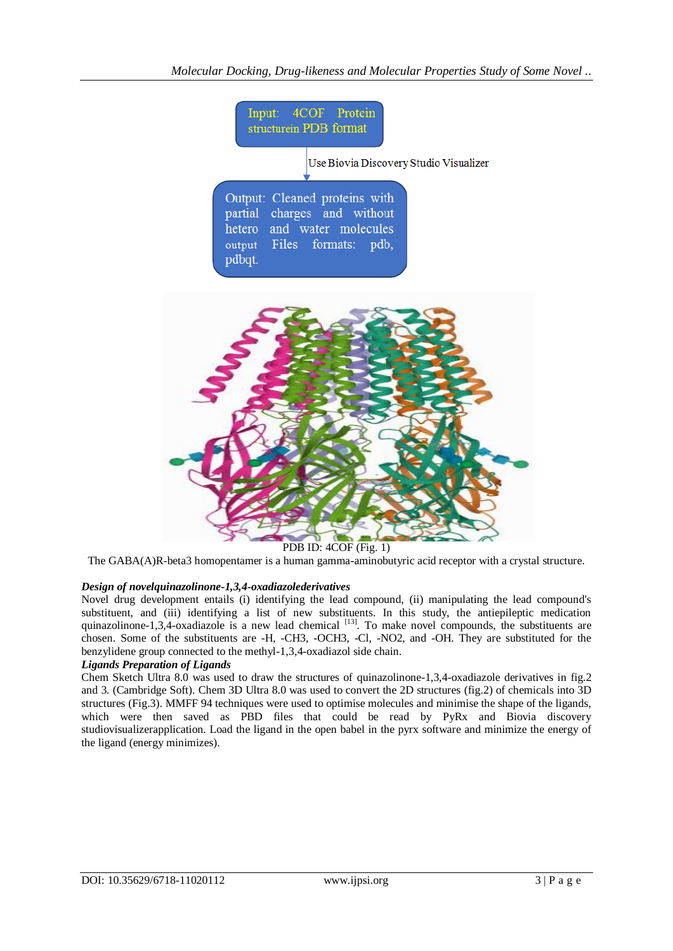

The GABA(A)R-beta3 homopentamer is a human gamma-aminobutyric acid receptor with a crystal structure.

# *Design of novelquinazolinone-1,3,4-oxadiazolederivatives*

Novel drug development entails (i) identifying the lead compound, (ii) manipulating the lead compound's substituent, and (iii) identifying a list of new substituents. In this study, the antiepileptic medication quinazolinone-1,3,4-oxadiazole is a new lead chemical  $[13]$ . To make novel compounds, the substituents are chosen. Some of the substituents are -H, -CH3, -OCH3, -Cl, -NO2, and -OH. They are substituted for the benzylidene group connected to the methyl-1,3,4-oxadiazol side chain.

# *Ligands Preparation of Ligands*

Chem Sketch Ultra 8.0 was used to draw the structures of quinazolinone-1,3,4-oxadiazole derivatives in fig.2 and 3. (Cambridge Soft). Chem 3D Ultra 8.0 was used to convert the 2D structures (fig.2) of chemicals into 3D structures (Fig.3). MMFF 94 techniques were used to optimise molecules and minimise the shape of the ligands, which were then saved as PBD files that could be read by PyRx and Biovia discovery studiovisualizerapplication. Load the ligand in the open babel in the pyrx software and minimize the energy of the ligand (energy minimizes).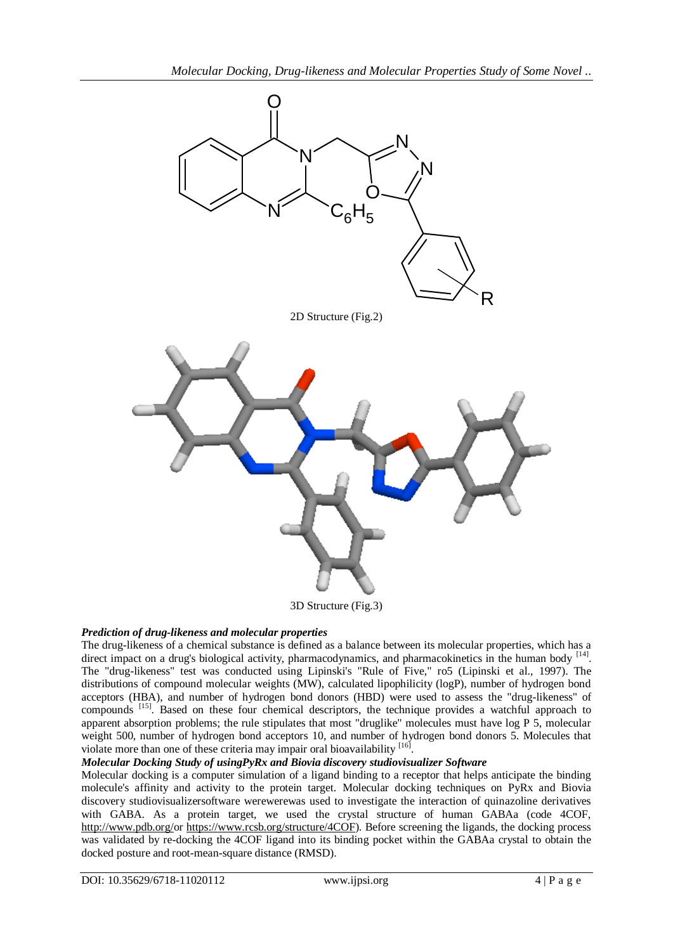

3D Structure (Fig.3)

# *Prediction of drug-likeness and molecular properties*

The drug-likeness of a chemical substance is defined as a balance between its molecular properties, which has a direct impact on a drug's biological activity, pharmacodynamics, and pharmacokinetics in the human body <sup>[14]</sup>. The "drug-likeness" test was conducted using Lipinski's "Rule of Five," ro5 (Lipinski et al., 1997). The distributions of compound molecular weights (MW), calculated lipophilicity (logP), number of hydrogen bond acceptors (HBA), and number of hydrogen bond donors (HBD) were used to assess the "drug-likeness" of compounds [15]. Based on these four chemical descriptors, the technique provides a watchful approach to apparent absorption problems; the rule stipulates that most "druglike" molecules must have log P 5, molecular weight 500, number of hydrogen bond acceptors 10, and number of hydrogen bond donors 5. Molecules that violate more than one of these criteria may impair oral bioavailability [16].

# *Molecular Docking Study of usingPyRx and Biovia discovery studiovisualizer Software*

Molecular docking is a computer simulation of a ligand binding to a receptor that helps anticipate the binding molecule's affinity and activity to the protein target. Molecular docking techniques on PyRx and Biovia discovery studiovisualizersoftware werewerewas used to investigate the interaction of quinazoline derivatives with GABA. As a protein target, we used the crystal structure of human GABAa (code 4COF, [http://www.pdb.org/o](http://www.pdb.org/)r [https://www.rcsb.org/structure/4COF\)](https://www.rcsb.org/structure/4COF). Before screening the ligands, the docking process was validated by re-docking the 4COF ligand into its binding pocket within the GABAa crystal to obtain the docked posture and root-mean-square distance (RMSD).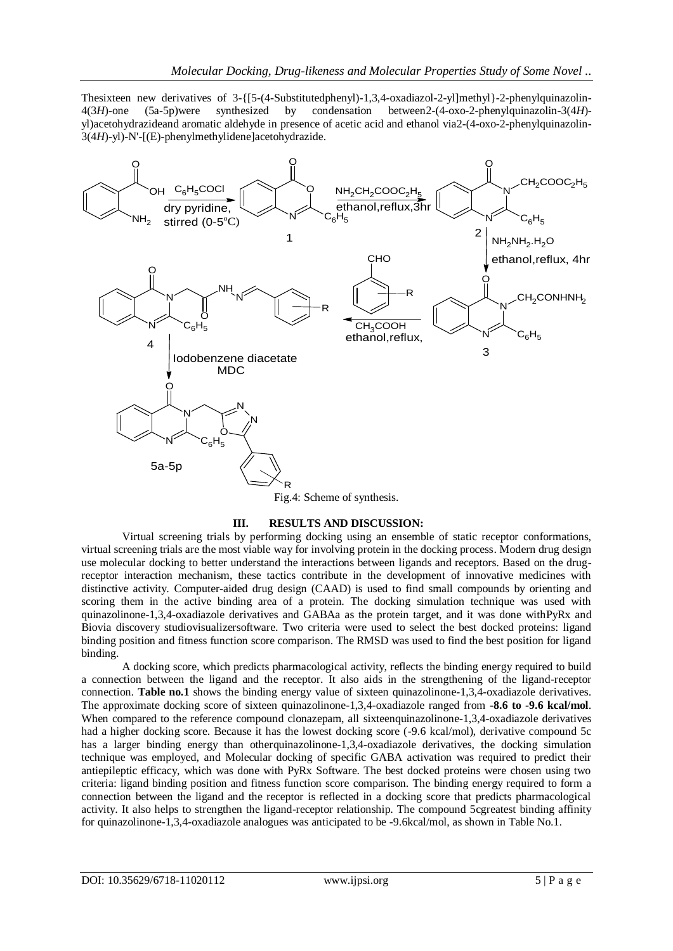Thesixteen new derivatives of 3-{[5-(4-Substitutedphenyl)-1,3,4-oxadiazol-2-yl]methyl}-2-phenylquinazolin-4(3*H*)-one (5a-5p)were synthesized by condensation between2-(4-oxo-2-phenylquinazolin-3(4*H*) yl)acetohydrazideand aromatic aldehyde in presence of acetic acid and ethanol via2-(4-oxo-2-phenylquinazolin-3(4*H*)-yl)-N'-[(E)-phenylmethylidene]acetohydrazide.



### **III. RESULTS AND DISCUSSION:**

Virtual screening trials by performing docking using an ensemble of static receptor conformations, virtual screening trials are the most viable way for involving protein in the docking process. Modern drug design use molecular docking to better understand the interactions between ligands and receptors. Based on the drugreceptor interaction mechanism, these tactics contribute in the development of innovative medicines with distinctive activity. Computer-aided drug design (CAAD) is used to find small compounds by orienting and scoring them in the active binding area of a protein. The docking simulation technique was used with quinazolinone-1,3,4-oxadiazole derivatives and GABAa as the protein target, and it was done withPyRx and Biovia discovery studiovisualizersoftware. Two criteria were used to select the best docked proteins: ligand binding position and fitness function score comparison. The RMSD was used to find the best position for ligand binding.

A docking score, which predicts pharmacological activity, reflects the binding energy required to build a connection between the ligand and the receptor. It also aids in the strengthening of the ligand-receptor connection. **Table no.1** shows the binding energy value of sixteen quinazolinone-1,3,4-oxadiazole derivatives. The approximate docking score of sixteen quinazolinone-1,3,4-oxadiazole ranged from **-8.6 to -9.6 kcal/mol**. When compared to the reference compound clonazepam, all sixteenquinazolinone-1,3,4-oxadiazole derivatives had a higher docking score. Because it has the lowest docking score (-9.6 kcal/mol), derivative compound 5c has a larger binding energy than otherquinazolinone-1,3,4-oxadiazole derivatives, the docking simulation technique was employed, and Molecular docking of specific GABA activation was required to predict their antiepileptic efficacy, which was done with PyRx Software. The best docked proteins were chosen using two criteria: ligand binding position and fitness function score comparison. The binding energy required to form a connection between the ligand and the receptor is reflected in a docking score that predicts pharmacological activity. It also helps to strengthen the ligand-receptor relationship. The compound 5cgreatest binding affinity for quinazolinone-1,3,4-oxadiazole analogues was anticipated to be -9.6kcal/mol, as shown in Table No.1.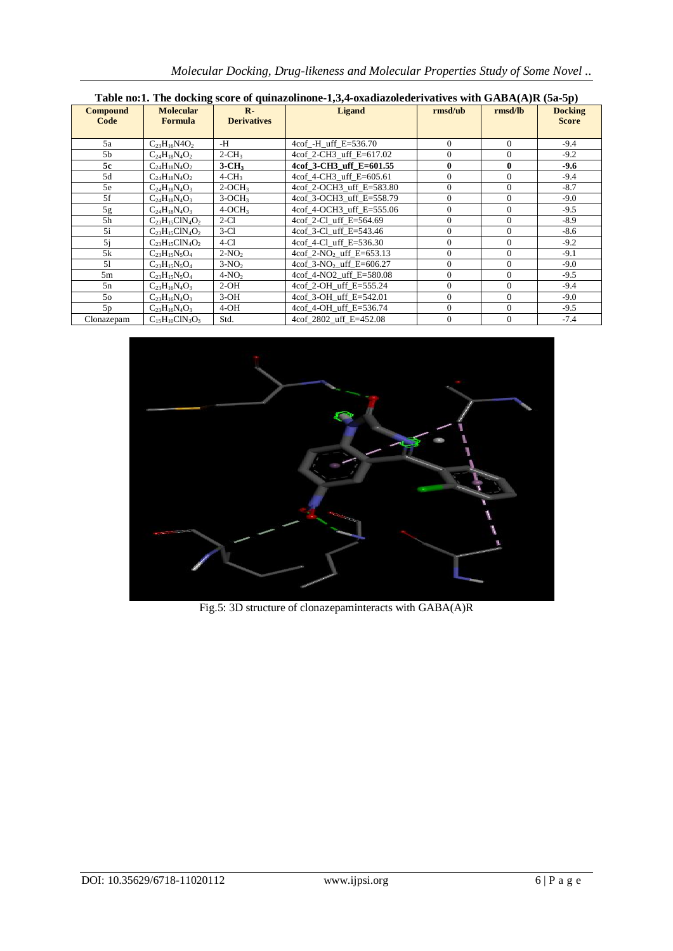| Table no:1. The docking score of quinazolinone-1,3,4-oxadiazolederivatives with GABA(A)R (5a-5p) |                                    |                                    |                                      |                |                     |                                |  |  |  |  |  |
|--------------------------------------------------------------------------------------------------|------------------------------------|------------------------------------|--------------------------------------|----------------|---------------------|--------------------------------|--|--|--|--|--|
| <b>Compound</b><br>Code                                                                          | <b>Molecular</b><br><b>Formula</b> | $\mathbf{R}$<br><b>Derivatives</b> | <b>Ligand</b><br>$\mathbf{r}$ msd/ub |                | $\mathbf{r}$ msd/lb | <b>Docking</b><br><b>Score</b> |  |  |  |  |  |
| 5a                                                                                               | $C_{23}H_{16}N4O_2$                | -H                                 | 4cof -H uff $E = 536.70$             | $\Omega$       | $\Omega$            | $-9.4$                         |  |  |  |  |  |
| 5 <sub>b</sub>                                                                                   | $C_{24}H_{18}N_4O_2$               | $2-CH3$                            | 4cof 2-CH3 uff E=617.02              | $\mathbf{0}$   | $\mathbf{0}$        | $-9.2$                         |  |  |  |  |  |
| 5c                                                                                               | $C_{24}H_{18}N_4O_2$               | $3$ -CH <sub>3</sub>               | 4cof 3-CH3 uff E=601.55              | $\bf{0}$       | $\bf{0}$            | $-9.6$                         |  |  |  |  |  |
| 5d                                                                                               | $C_{24}H_{18}N_4O_2$               | $4$ -CH <sub>3</sub>               | 4cof 4-CH3 uff E=605.61              | $\Omega$       | $\Omega$            | $-9.4$                         |  |  |  |  |  |
| 5e                                                                                               | $C_{24}H_{18}N_4O_3$               | $2-OCH3$                           | 4cof 2-OCH3 uff E=583.80             | $\Omega$       | $\mathbf{0}$        | $-8.7$                         |  |  |  |  |  |
| 5f                                                                                               | $C_{24}H_{18}N_4O_3$               | $3-OCH3$                           | 4cof 3-OCH3 uff E=558.79             | $\overline{0}$ | $\overline{0}$      | $-9.0$                         |  |  |  |  |  |
| 5g                                                                                               | $C_{24}H_{18}N_4O_3$               | $4-OCH3$                           | 4cof 4-OCH3 uff E=555.06             | $\overline{0}$ | $\mathbf{0}$        | $-9.5$                         |  |  |  |  |  |
| 5 <sub>h</sub>                                                                                   | $C_{23}H_{15}CIN_4O_2$             | $2-C1$                             | 4cof 2-Cl_uff_E=564.69               | $\overline{0}$ | $\mathbf{0}$        | $-8.9$                         |  |  |  |  |  |
| 5i                                                                                               | $C_{23}H_{15}CIN_4O_2$             | $3-Cl$                             | 4cof 3-Cl uff E=543.46               | $\Omega$       | $\Omega$            | $-8.6$                         |  |  |  |  |  |
| 5i                                                                                               | $C_{23}H_{15}CIN_4O_2$             | $4-C1$                             | 4cof 4-Cl uff $E=536.30$             | $\Omega$       | $\mathbf{0}$        | $-9.2$                         |  |  |  |  |  |
| 5k                                                                                               | $C_{23}H_{15}N_5O_4$               | $2-NO2$                            | 4cof 2-NO <sub>2</sub> uff E=653.13  | $\Omega$       | $\Omega$            | $-9.1$                         |  |  |  |  |  |
| 51                                                                                               | $C_{23}H_{15}N_5O_4$               | $3-NO2$                            | 4cof 3-NO <sub>2</sub> uff E=606.27  | $\overline{0}$ | $\mathbf{0}$        | $-9.0$                         |  |  |  |  |  |
| 5m                                                                                               | $C_{23}H_{15}N_5O_4$               | $4-NO2$                            | 4cof 4-NO2 uff E=580.08              | $\overline{0}$ | $\mathbf{0}$        | $-9.5$                         |  |  |  |  |  |
| 5n                                                                                               | $C_{23}H_{16}N_4O_3$               | $2-OH$                             | 4cof 2-OH uff E=555.24               | $\Omega$       | $\Omega$            | $-9.4$                         |  |  |  |  |  |
| 50                                                                                               | $C_{23}H_{16}N_4O_3$               | $3-OH$                             | 4cof 3-OH uff E=542.01               | $\mathbf{0}$   | $\mathbf{0}$        | $-9.0$                         |  |  |  |  |  |
| 5p                                                                                               | $C_{23}H_{16}N_4O_3$               | $4-OH$                             | 4cof 4-OH uff E=536.74               | $\mathbf{0}$   | $\mathbf{0}$        | $-9.5$                         |  |  |  |  |  |
| Clonazepam                                                                                       | $C_{15}H_{10}CIN_{3}O_{3}$         | Std.                               | 4cof 2802 uff E=452.08               | $\Omega$       | $\Omega$            | $-7.4$                         |  |  |  |  |  |

*Molecular Docking, Drug-likeness and Molecular Properties Study of Some Novel ..*

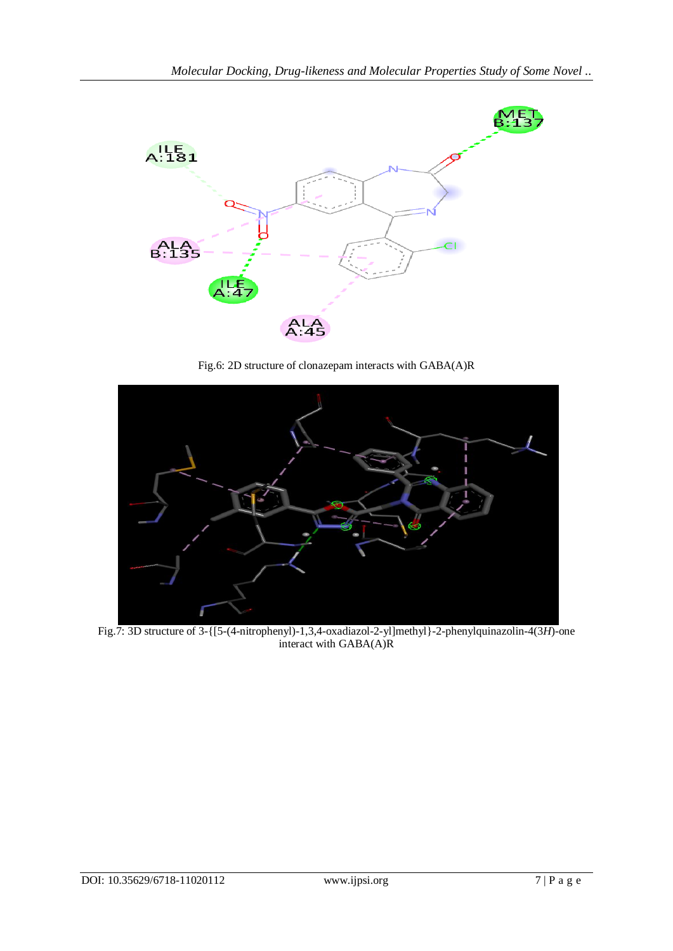

Fig.6: 2D structure of clonazepam interacts with GABA(A)R



Fig.7: 3D structure of 3-{[5-(4-nitrophenyl)-1,3,4-oxadiazol-2-yl]methyl}-2-phenylquinazolin-4(3*H*)-one interact with GABA(A)R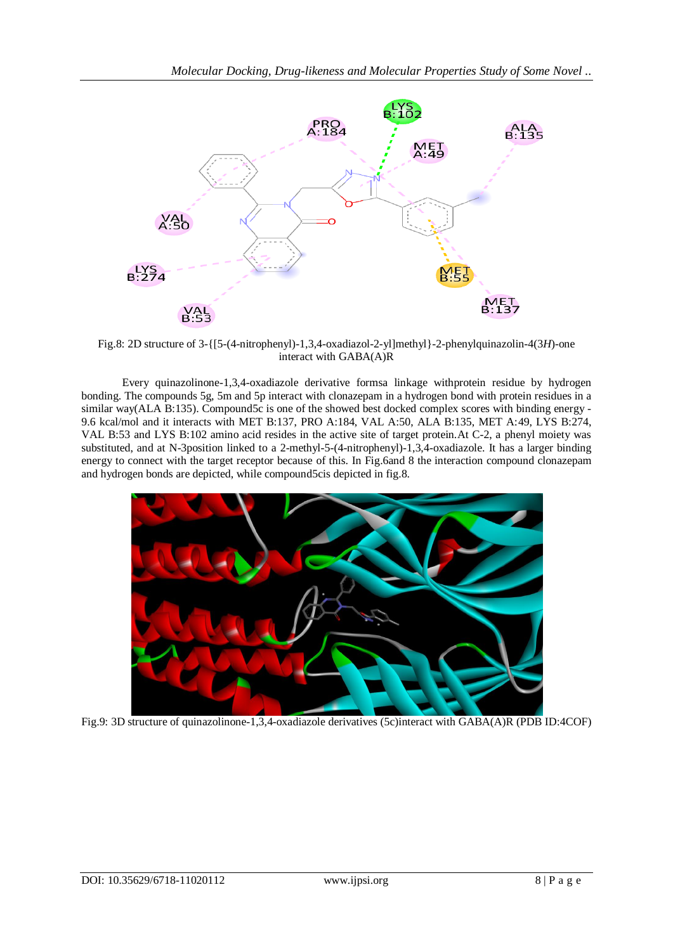

Fig.8: 2D structure of 3-{[5-(4-nitrophenyl)-1,3,4-oxadiazol-2-yl]methyl}-2-phenylquinazolin-4(3*H*)-one interact with GABA(A)R

Every quinazolinone-1,3,4-oxadiazole derivative formsa linkage withprotein residue by hydrogen bonding. The compounds 5g, 5m and 5p interact with clonazepam in a hydrogen bond with protein residues in a similar way(ALA B:135). Compound5c is one of the showed best docked complex scores with binding energy -9.6 kcal/mol and it interacts with MET B:137, PRO A:184, VAL A:50, ALA B:135, MET A:49, LYS B:274, VAL B:53 and LYS B:102 amino acid resides in the active site of target protein.At C-2, a phenyl moiety was substituted, and at N-3position linked to a 2-methyl-5-(4-nitrophenyl)-1,3,4-oxadiazole. It has a larger binding energy to connect with the target receptor because of this. In Fig.6and 8 the interaction compound clonazepam and hydrogen bonds are depicted, while compound5cis depicted in fig.8.



Fig.9: 3D structure of quinazolinone-1,3,4-oxadiazole derivatives (5c)interact with GABA(A)R (PDB ID:4COF)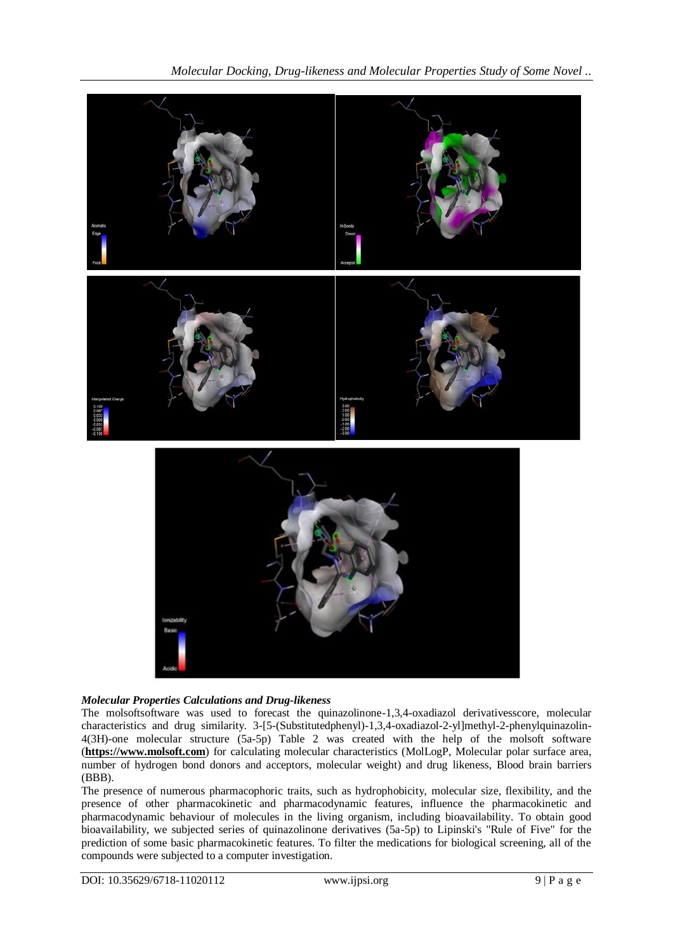

# *Molecular Properties Calculations and Drug-likeness*

The molsoftsoftware was used to forecast the quinazolinone-1,3,4-oxadiazol derivativesscore, molecular characteristics and drug similarity. 3-[5-(Substitutedphenyl)-1,3,4-oxadiazol-2-yl]methyl-2-phenylquinazolin-4(3H)-one molecular structure (5a-5p) Table 2 was created with the help of the molsoft software (**[https://www.molsoft.com](https://www.molsoft.com/)**) for calculating molecular characteristics (MolLogP, Molecular polar surface area, number of hydrogen bond donors and acceptors, molecular weight) and drug likeness, Blood brain barriers (BBB).

The presence of numerous pharmacophoric traits, such as hydrophobicity, molecular size, flexibility, and the presence of other pharmacokinetic and pharmacodynamic features, influence the pharmacokinetic and pharmacodynamic behaviour of molecules in the living organism, including bioavailability. To obtain good bioavailability, we subjected series of quinazolinone derivatives (5a-5p) to Lipinski's "Rule of Five" for the prediction of some basic pharmacokinetic features. To filter the medications for biological screening, all of the compounds were subjected to a computer investigation.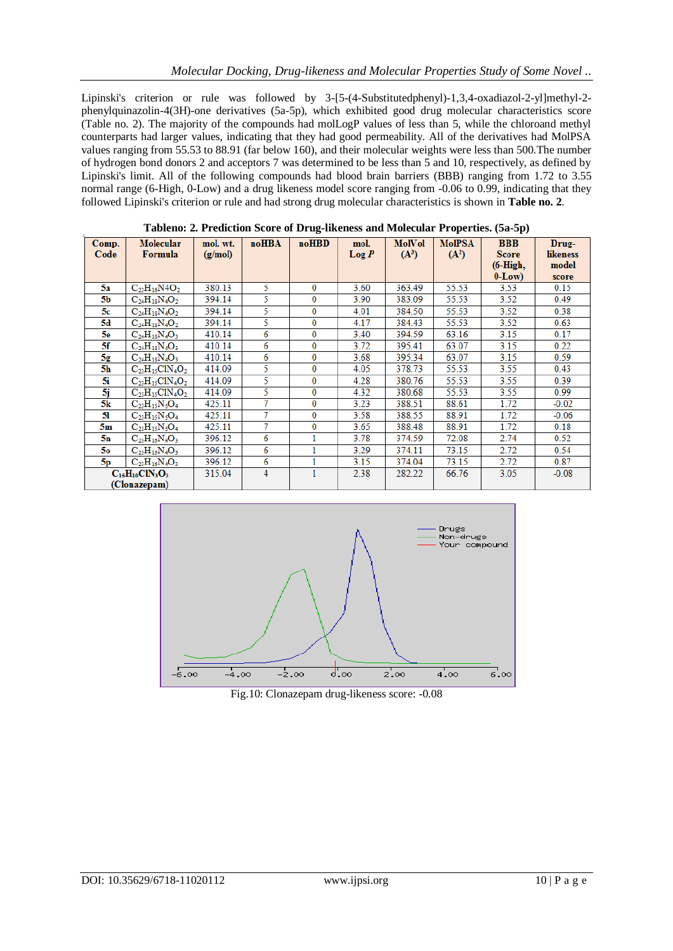Lipinski's criterion or rule was followed by 3-[5-(4-Substitutedphenyl)-1,3,4-oxadiazol-2-yl]methyl-2phenylquinazolin-4(3H)-one derivatives (5a-5p), which exhibited good drug molecular characteristics score (Table no. 2). The majority of the compounds had molLogP values of less than 5, while the chloroand methyl counterparts had larger values, indicating that they had good permeability. All of the derivatives had MolPSA values ranging from 55.53 to 88.91 (far below 160), and their molecular weights were less than 500.The number of hydrogen bond donors 2 and acceptors 7 was determined to be less than 5 and 10, respectively, as defined by Lipinski's limit. All of the following compounds had blood brain barriers (BBB) ranging from 1.72 to 3.55 normal range (6-High, 0-Low) and a drug likeness model score ranging from -0.06 to 0.99, indicating that they followed Lipinski's criterion or rule and had strong drug molecular characteristics is shown in **Table no. 2**.

| radicity, $\blacksquare$ , i realitadi peore or $D_1$ ug intences and molecular rroperites, (ca c $p$ ) |                        |          |                |          |          |         |               |              |          |  |
|---------------------------------------------------------------------------------------------------------|------------------------|----------|----------------|----------|----------|---------|---------------|--------------|----------|--|
| Comp.                                                                                                   | <b>Molecular</b>       | mol. wt. | noHBA          | noHBD    | mol.     | MolVol  | <b>MoIPSA</b> | <b>BBB</b>   | Drug-    |  |
| Code                                                                                                    | Formula                | (g/mol)  |                |          | $\log P$ | $(A^3)$ | $(A^2)$       | <b>Score</b> | likeness |  |
|                                                                                                         |                        |          |                |          |          |         |               | $(6-High,$   | model    |  |
|                                                                                                         |                        |          |                |          |          |         |               |              |          |  |
|                                                                                                         |                        |          |                |          |          |         |               | $0-Low$ )    | score    |  |
| 5a                                                                                                      | $C_{23}H_{16}N4O_2$    | 380.13   | 5.             | $\bf{0}$ | 3.60     | 363.49  | 55.53         | 3.53         | 0.15     |  |
| 5Ь                                                                                                      | $C_{24}H_{18}N_4O_2$   | 394.14   | 5              | $\bf{0}$ | 3.90     | 383.09  | 55.53         | 3.52         | 0.49     |  |
| 5с                                                                                                      | $C_{24}H_{18}N_4O_2$   | 394.14   | 5.             | 0        | 4.01     | 384.50  | 55.53         | 3.52         | 0.38     |  |
| 5d                                                                                                      | $C_{24}H_{18}N_4O_2$   | 394.14   | 5              | 0        | 4.17     | 384.43  | 55.53         | 3.52         | 0.63     |  |
| 5е                                                                                                      | $C_{24}H_{18}N_4O_3$   | 410.14   | 6              | $\bf{0}$ | 3.40     | 394.59  | 63.16         | 3.15         | 0.17     |  |
| 5f                                                                                                      | $C_{24}H_{18}N_4O_3$   | 410.14   | 6              | 0        | 3.72     | 395.41  | 63.07         | 3.15         | 0.22     |  |
| 5g                                                                                                      | $C_{24}H_{18}N_4O_3$   | 410.14   | 6              | 0        | 3.68     | 395.34  | 63.07         | 3.15         | 0.59     |  |
| 5h                                                                                                      | $C_{23}H_{15}C1N_4O_2$ | 414.09   | 5              | $\bf{0}$ | 4.05     | 378.73  | 55.53         | 3.55         | 0.43     |  |
| 5i.                                                                                                     | $C_{23}H_{15}C1N_4O_2$ | 414.09   | 5.             | 0        | 4.28     | 380.76  | 55.53         | 3.55         | 0.39     |  |
| 5j                                                                                                      | $C_{23}H_{15}C1N_4O_2$ | 414.09   | 5              | 0        | 4.32     | 380.68  | 55.53         | 3.55         | 0.99     |  |
| 5k                                                                                                      | $C_{23}H_{15}N_5O_4$   | 425.11   | 7              | 0        | 3.23     | 388.51  | 88.61         | 1.72         | $-0.02$  |  |
| 51                                                                                                      | $C_{23}H_{15}N_5O_4$   | 425.11   | 7              | 0        | 3.58     | 388.55  | 88.91         | 1.72         | $-0.06$  |  |
| 5m                                                                                                      | $C_{23}H_{15}N_5O_4$   | 425.11   | 7              | 0        | 3.65     | 388.48  | 88.91         | 1.72         | 0.18     |  |
| 5n                                                                                                      | $C_{23}H_{16}N_4O_3$   | 396.12   | 6              | 1        | 3.78     | 374.59  | 72.08         | 2.74         | 0.52     |  |
| 50.                                                                                                     | $C_{23}H_{16}N_4O_3$   | 396.12   | 6              |          | 3.29     | 374.11  | 73.15         | 2.72         | 0.54     |  |
| 5р                                                                                                      | $C_{23}H_{16}N_4O_3$   | 396.12   | 6              |          | 3.15     | 374.04  | 73.15         | 2.72         | 0.87     |  |
| $C_{15}H_{10}CIN_3O_3$                                                                                  |                        | 315.04   | $\overline{4}$ |          | 2.38     | 282.22  | 66.76         | 3.05         | $-0.08$  |  |
| (Clonazepam)                                                                                            |                        |          |                |          |          |         |               |              |          |  |

**Tableno: 2. Prediction Score of Drug-likeness and Molecular Properties. (5a-5p)**



Fig.10: Clonazepam drug-likeness score: -0.08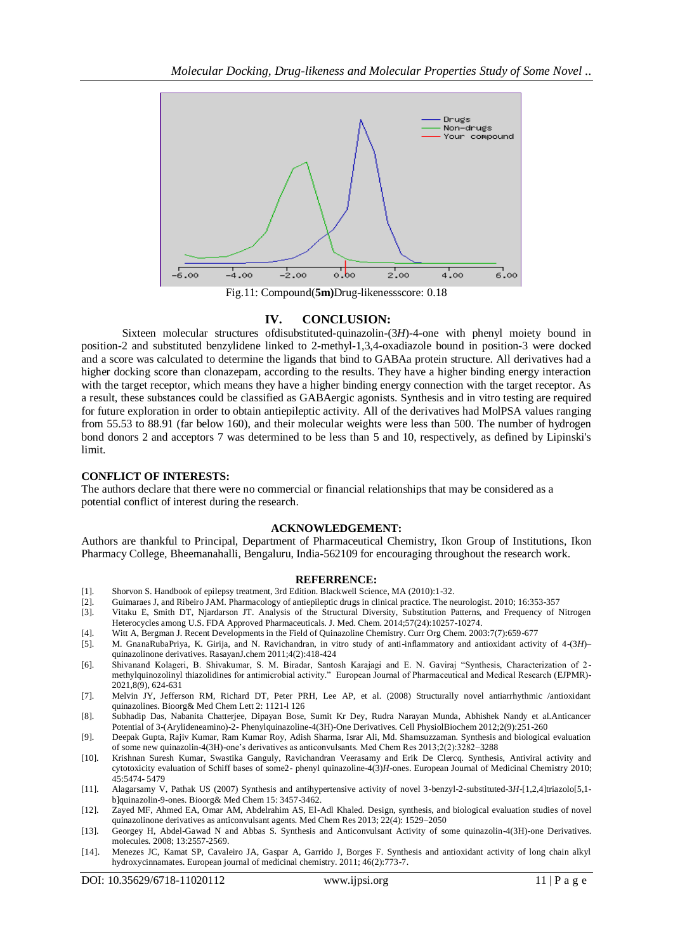

### **IV. CONCLUSION:**

Sixteen molecular structures ofdisubstituted-quinazolin-(3*H*)-4-one with phenyl moiety bound in position-2 and substituted benzylidene linked to 2-methyl-1,3,4-oxadiazole bound in position-3 were docked and a score was calculated to determine the ligands that bind to GABAa protein structure. All derivatives had a higher docking score than clonazepam, according to the results. They have a higher binding energy interaction with the target receptor, which means they have a higher binding energy connection with the target receptor. As a result, these substances could be classified as GABAergic agonists. Synthesis and in vitro testing are required for future exploration in order to obtain antiepileptic activity. All of the derivatives had MolPSA values ranging from 55.53 to 88.91 (far below 160), and their molecular weights were less than 500. The number of hydrogen bond donors 2 and acceptors 7 was determined to be less than 5 and 10, respectively, as defined by Lipinski's limit.

### **CONFLICT OF INTERESTS:**

The authors declare that there were no commercial or financial relationships that may be considered as a potential conflict of interest during the research.

#### **ACKNOWLEDGEMENT:**

Authors are thankful to Principal, Department of Pharmaceutical Chemistry, Ikon Group of Institutions, Ikon Pharmacy College, Bheemanahalli, Bengaluru, India-562109 for encouraging throughout the research work.

#### **REFERRENCE:**

- [1]. Shorvon S. Handbook of epilepsy treatment, 3rd Edition. Blackwell Science, MA (2010):1-32.
- [2]. Guimaraes J, and Ribeiro JAM. Pharmacology of antiepileptic drugs in clinical practice. The neurologist. 2010; 16:353-357
- Vitaku E, Smith DT, Njardarson JT. Analysis of the Structural Diversity, Substitution Patterns, and Frequency of Nitrogen Heterocycles among U.S. FDA Approved Pharmaceuticals. J. Med. Chem. 2014;57(24):10257-10274.
- [4]. Witt A, Bergman J. Recent Developments in the Field of Quinazoline Chemistry. Curr Org Chem. 2003:7(7):659-677
- [5]. M. GnanaRubaPriya, K. Girija, and N. Ravichandran, in vitro study of anti-inflammatory and antioxidant activity of 4-(3*H*)– quinazolinone derivatives. RasayanJ.chem 2011;4(2):418-424
- [6]. Shivanand Kolageri, B. Shivakumar, S. M. Biradar, Santosh Karajagi and E. N. Gaviraj "Synthesis, Characterization of 2 methylquinozolinyl thiazolidines for antimicrobial activity." European Journal of Pharmaceutical and Medical Research (EJPMR)- 2021,8(9), 624-631
- [7]. Melvin JY, Jefferson RM, Richard DT, Peter PRH, Lee AP, et al. (2008) Structurally novel antiarrhythmic /antioxidant quinazolines. Bioorg& Med Chem Lett 2: 1121-l 126
- [8]. Subhadip Das, Nabanita Chatterjee, Dipayan Bose, Sumit Kr Dey, Rudra Narayan Munda, Abhishek Nandy et al.Anticancer Potential of 3-(Arylideneamino)-2- Phenylquinazoline-4(3H)-One Derivatives. Cell PhysiolBiochem 2012;2(9):251-260
- [9]. Deepak Gupta, Rajiv Kumar, Ram Kumar Roy, Adish Sharma, Israr Ali, Md. Shamsuzzaman. Synthesis and biological evaluation of some new quinazolin-4(3H)-one's derivatives as anticonvulsants. Med Chem Res 2013;2(2):3282–3288
- [10]. Krishnan Suresh Kumar, Swastika Ganguly, Ravichandran Veerasamy and Erik De Clercq. Synthesis, Antiviral activity and cytotoxicity evaluation of Schiff bases of some2- phenyl quinazoline-4(3)*H*-ones. European Journal of Medicinal Chemistry 2010; 45:5474- 5479
- [11]. Alagarsamy V, Pathak US (2007) Synthesis and antihypertensive activity of novel 3-benzyl-2-substituted-3*H*-[1,2,4]triazolo[5,1 b]quinazolin-9-ones. Bioorg& Med Chem 15: 3457-3462.
- [12]. Zayed MF, Ahmed EA, Omar AM, Abdelrahim AS, El-Adl Khaled. Design, synthesis, and biological evaluation studies of novel quinazolinone derivatives as anticonvulsant agents. Med Chem Res 2013; 22(4): 1529–2050
- [13]. Georgey H, Abdel-Gawad N and Abbas S. Synthesis and Anticonvulsant Activity of some quinazolin-4(3H)-one Derivatives. molecules. 2008; 13:2557-2569.
- [14]. Menezes JC, Kamat SP, Cavaleiro JA, Gaspar A, Garrido J, Borges F. Synthesis and antioxidant activity of long chain alkyl hydroxycinnamates. European journal of medicinal chemistry. 2011; 46(2):773-7.